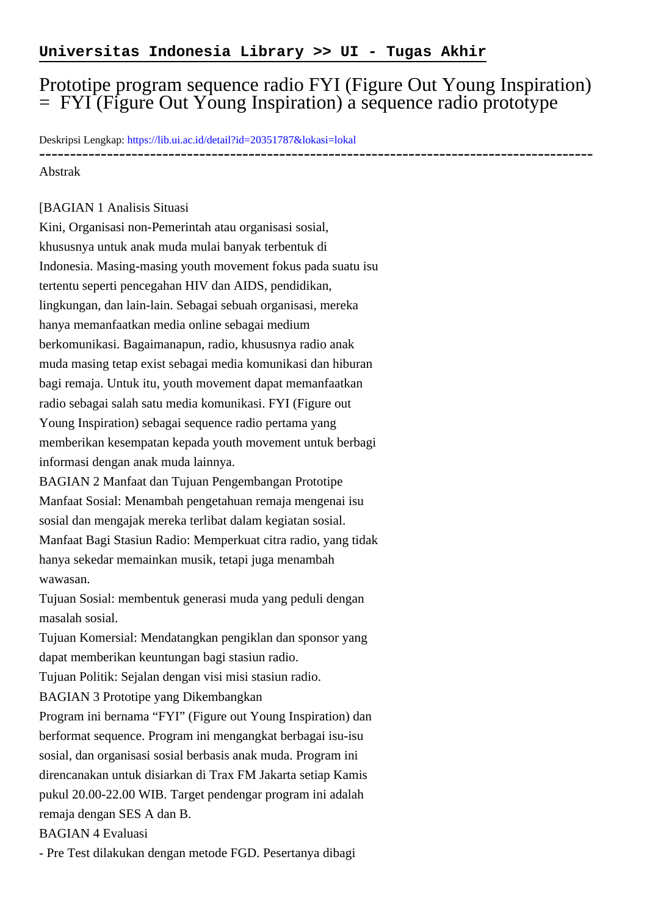## Prototipe program sequence radio FYI (Figure Out Young Inspiration) = FYI (Figure Out Young Inspiration) a sequence radio prototype

Deskripsi Lengkap:<https://lib.ui.ac.id/detail?id=20351787&lokasi=lokal>

------------------------------------------------------------------------------------------

## Abstrak

## [BAGIAN 1 Analisis Situasi

Kini, Organisasi non-Pemerintah atau organisasi sosial, khususnya untuk anak muda mulai banyak terbentuk di Indonesia. Masing-masing youth movement fokus pada suatu isu tertentu seperti pencegahan HIV dan AIDS, pendidikan, lingkungan, dan lain-lain. Sebagai sebuah organisasi, mereka hanya memanfaatkan media online sebagai medium berkomunikasi. Bagaimanapun, radio, khususnya radio anak muda masing tetap exist sebagai media komunikasi dan hiburan bagi remaja. Untuk itu, youth movement dapat memanfaatkan radio sebagai salah satu media komunikasi. FYI (Figure out Young Inspiration) sebagai sequence radio pertama yang memberikan kesempatan kepada youth movement untuk berbagi informasi dengan anak muda lainnya. BAGIAN 2 Manfaat dan Tujuan Pengembangan Prototipe Manfaat Sosial: Menambah pengetahuan remaja mengenai isu sosial dan mengajak mereka terlibat dalam kegiatan sosial. Manfaat Bagi Stasiun Radio: Memperkuat citra radio, yang tidak

hanya sekedar memainkan musik, tetapi juga menambah wawasan.

Tujuan Sosial: membentuk generasi muda yang peduli dengan masalah sosial.

Tujuan Komersial: Mendatangkan pengiklan dan sponsor yang dapat memberikan keuntungan bagi stasiun radio.

Tujuan Politik: Sejalan dengan visi misi stasiun radio.

BAGIAN 3 Prototipe yang Dikembangkan

Program ini bernama "FYI" (Figure out Young Inspiration) dan berformat sequence. Program ini mengangkat berbagai isu-isu sosial, dan organisasi sosial berbasis anak muda. Program ini direncanakan untuk disiarkan di Trax FM Jakarta setiap Kamis pukul 20.00-22.00 WIB. Target pendengar program ini adalah remaja dengan SES A dan B.

BAGIAN 4 Evaluasi

- Pre Test dilakukan dengan metode FGD. Pesertanya dibagi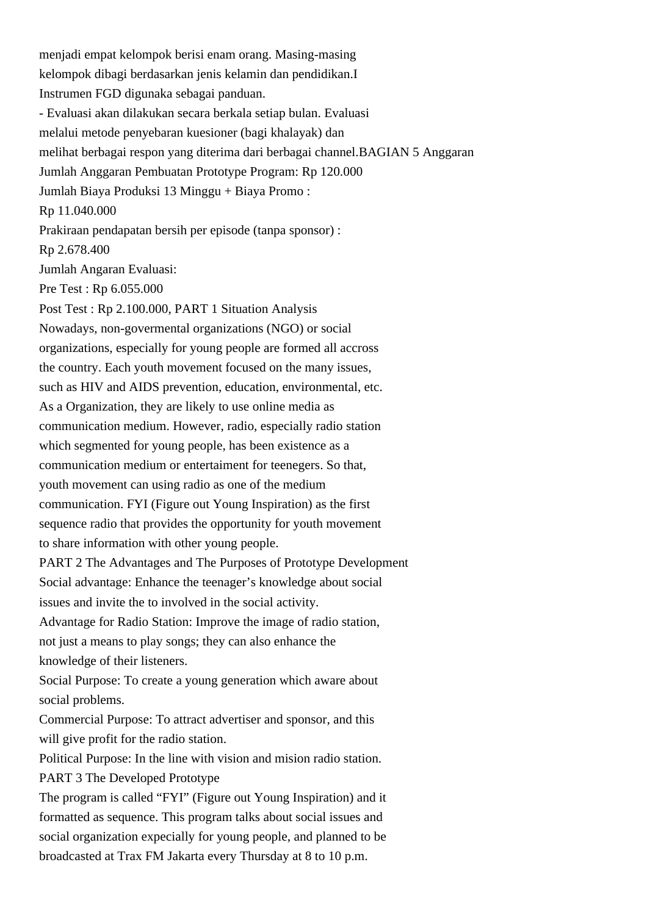menjadi empat kelompok berisi enam orang. Masing-masing kelompok dibagi berdasarkan jenis kelamin dan pendidikan.I Instrumen FGD digunaka sebagai panduan. - Evaluasi akan dilakukan secara berkala setiap bulan. Evaluasi melalui metode penyebaran kuesioner (bagi khalayak) dan melihat berbagai respon yang diterima dari berbagai channel.BAGIAN 5 Anggaran Jumlah Anggaran Pembuatan Prototype Program: Rp 120.000 Jumlah Biaya Produksi 13 Minggu + Biaya Promo : Rp 11.040.000 Prakiraan pendapatan bersih per episode (tanpa sponsor) : Rp 2.678.400 Jumlah Angaran Evaluasi: Pre Test : Rp 6.055.000 Post Test : Rp 2.100.000, PART 1 Situation Analysis Nowadays, non-govermental organizations (NGO) or social organizations, especially for young people are formed all accross the country. Each youth movement focused on the many issues, such as HIV and AIDS prevention, education, environmental, etc. As a Organization, they are likely to use online media as communication medium. However, radio, especially radio station which segmented for young people, has been existence as a communication medium or entertaiment for teenegers. So that, youth movement can using radio as one of the medium communication. FYI (Figure out Young Inspiration) as the first sequence radio that provides the opportunity for youth movement to share information with other young people. PART 2 The Advantages and The Purposes of Prototype Development Social advantage: Enhance the teenager's knowledge about social issues and invite the to involved in the social activity. Advantage for Radio Station: Improve the image of radio station, not just a means to play songs; they can also enhance the knowledge of their listeners. Social Purpose: To create a young generation which aware about social problems. Commercial Purpose: To attract advertiser and sponsor, and this will give profit for the radio station. Political Purpose: In the line with vision and mision radio station. PART 3 The Developed Prototype The program is called "FYI" (Figure out Young Inspiration) and it formatted as sequence. This program talks about social issues and social organization expecially for young people, and planned to be broadcasted at Trax FM Jakarta every Thursday at 8 to 10 p.m.